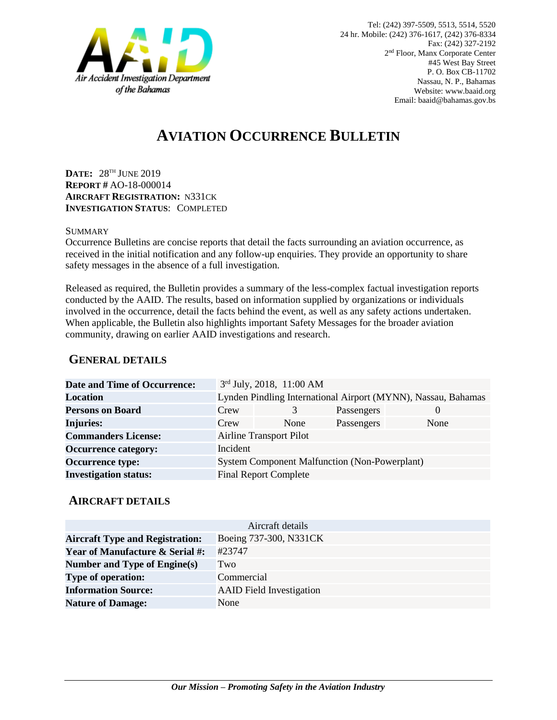

# **AVIATION OCCURRENCE BULLETIN**

**DATE:** 28 TH JUNE 2019 **REPORT #** AO-18-000014 **AIRCRAFT REGISTRATION:** N331CK **INVESTIGATION STATUS**: COMPLETED

#### **SUMMARY**

Occurrence Bulletins are concise reports that detail the facts surrounding an aviation occurrence, as received in the initial notification and any follow-up enquiries. They provide an opportunity to share safety messages in the absence of a full investigation*.*

Released as required, the Bulletin provides a summary of the less-complex factual investigation reports conducted by the AAID. The results, based on information supplied by organizations or individuals involved in the occurrence, detail the facts behind the event, as well as any safety actions undertaken. When applicable, the Bulletin also highlights important Safety Messages for the broader aviation community, drawing on earlier AAID investigations and research.

### **GENERAL DETAILS**

| <b>Date and Time of Occurrence:</b> |                                                               | 3rd July, 2018, 11:00 AM     |            |          |
|-------------------------------------|---------------------------------------------------------------|------------------------------|------------|----------|
| <b>Location</b>                     | Lynden Pindling International Airport (MYNN), Nassau, Bahamas |                              |            |          |
| <b>Persons on Board</b>             | Crew                                                          | 3                            | Passengers | $\theta$ |
| <b>Injuries:</b>                    | Crew                                                          | None                         | Passengers | None     |
| <b>Commanders License:</b>          | <b>Airline Transport Pilot</b>                                |                              |            |          |
| <b>Occurrence category:</b>         | Incident                                                      |                              |            |          |
| <b>Occurrence type:</b>             | <b>System Component Malfunction (Non-Powerplant)</b>          |                              |            |          |
| <b>Investigation status:</b>        |                                                               | <b>Final Report Complete</b> |            |          |

#### **AIRCRAFT DETAILS**

| Aircraft details                           |                                 |  |  |  |
|--------------------------------------------|---------------------------------|--|--|--|
| <b>Aircraft Type and Registration:</b>     | Boeing 737-300, N331CK          |  |  |  |
| <b>Year of Manufacture &amp; Serial #:</b> | #23747                          |  |  |  |
| Number and Type of Engine(s)               | Two                             |  |  |  |
| <b>Type of operation:</b>                  | Commercial                      |  |  |  |
| <b>Information Source:</b>                 | <b>AAID</b> Field Investigation |  |  |  |
| <b>Nature of Damage:</b>                   | None                            |  |  |  |